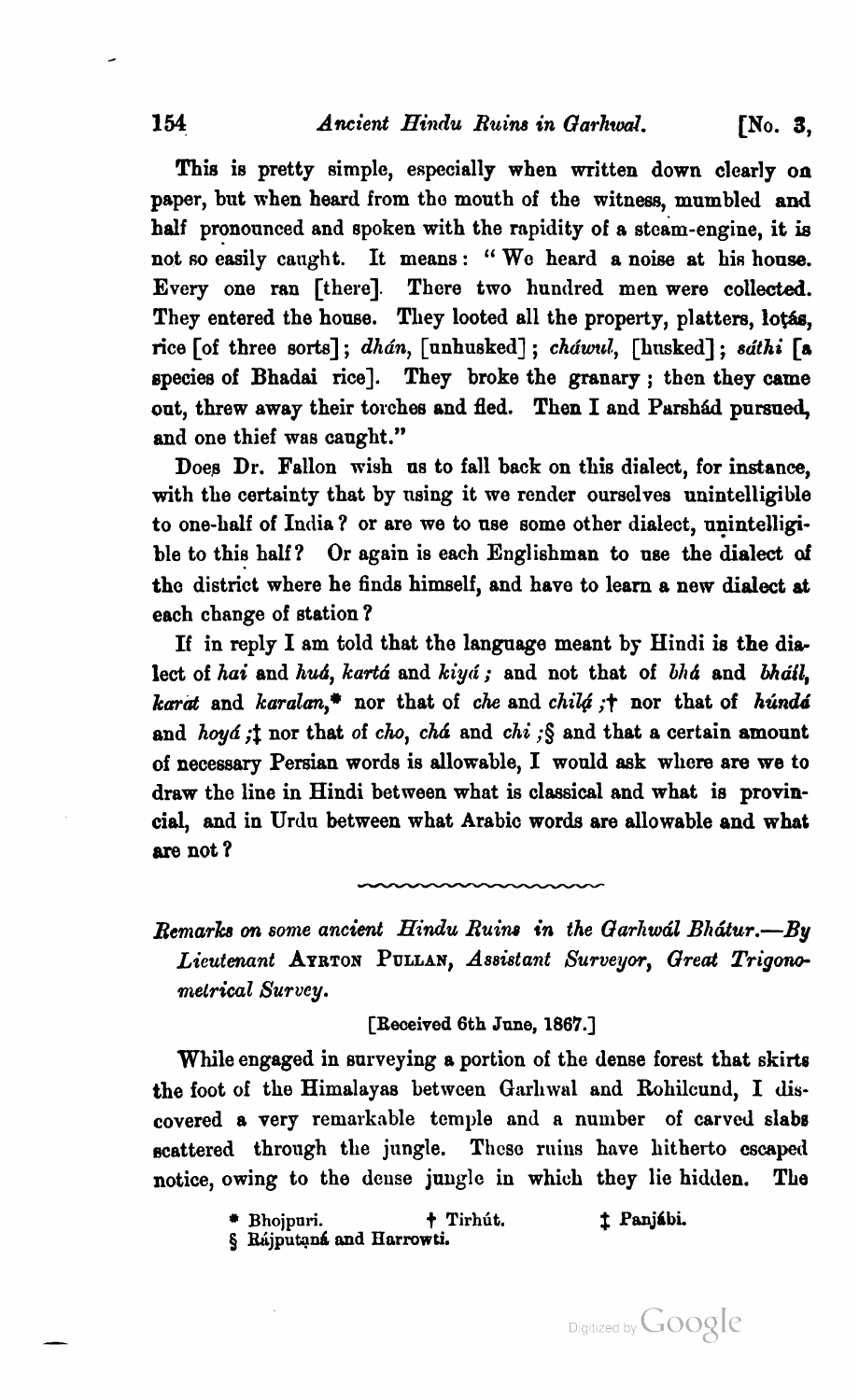## 154 **Ancient** *Hindu Ruins in Garhwal*. [No. 3,

This is pretty simple, especially when written down clearly on paper, but when heard from tho mouth of the witness, mumbled and half pronounced and spoken with the rapidity of a steam-engine, it is not so easily caught. It means: "We heard a noise at his house. Every one ran [there]. There two hundred men were collected. They entered the house. They looted all the property, platters, lotas. rice [of three sorts]; dhán, [unhusked]; cháwul, [husked]; sáthi [a species of Bhadai rice]. They broke the granary ; then they came out, threw away their torches and fled. Then I and Parshad pursued, and one thief was canght."

Doea Dr. Fallon wish us to fall back on this dialect, for instance, with the certainty that by using it we render ourselves unintelligible to one-half of India **7** or are we to nse some other dialect, unintelligible to this half? Or again is each Englishman to use the dialect of the district where he finds himself, and have to learn a new dialect at each change of station ?

If in reply I am told that the language meant by Hindi is the dialect of hai and huá, kartá and kiyá; and not that of bhá and bháil, karat and karalan,\* nor that of che and chila ;† nor that of hunda' and hoyá; t nor that of cho, chá and chi; § and that a certain amount of necessary Persian words is allowable, I would ask wllcre are we to draw the line in Hindi between what is classical and what is provincial, and in Urdu between what Arabic words are allowable and what are not ?

Remarks on some ancient Hindu Ruins in the Garhwal Bhatur.--By Lieutenant **AYRTOI PULLAN,** Assistant Surveyor, *Great Trigono*metrical Survey.

[Received 6th **June, 1867.1** 

While engaged in surveying a portion of the dense forest that skirts the foot of the Himalayas between Garliwal and Rohilcund, I discovered a very remarkable temple and a number of carved slabs scattered through the jungle. These ruins have hitherto escaped notice, owing to the dense jungle in which they lie hidden. The

\* Bhojpuri. **+ Tirhút. 1 Panjábi.** 

 $\boldsymbol{\S}$  Rájputaná and Harrowti.

Digitized by Google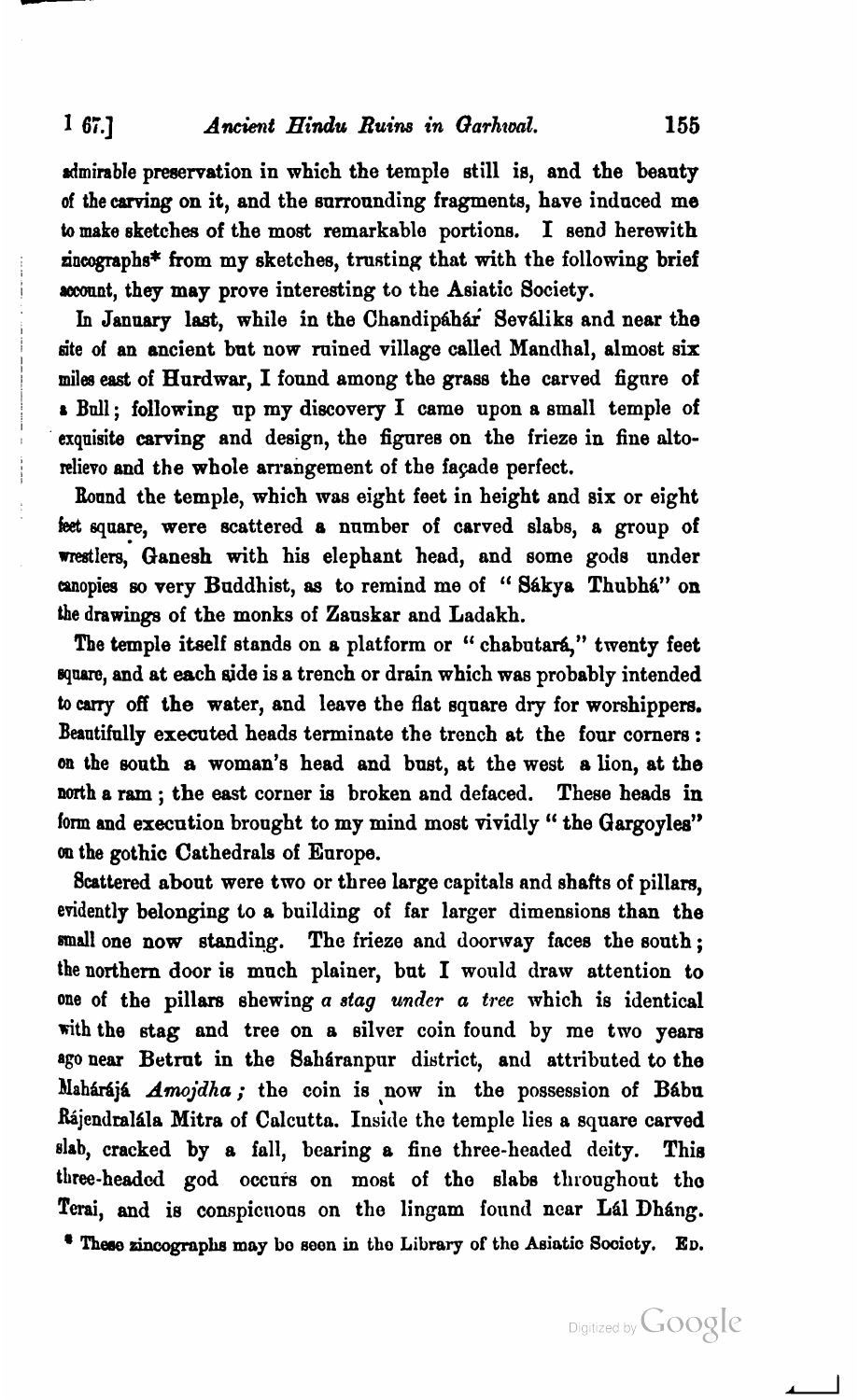## 1 67.] *Ancient Hindu Ruins in Garhwal.* **155**

dmirable preservation in which the temple still is, and the beauty of the carving on it, and the surrounding fragments, have induced me to make sketches of the most remarkable portions. I send herewith  $\texttt{a}$ incographs\* from my sketches, trusting that with the following brief account, they may prove interesting to the Asiatic Society.

In January last, while in the Chandipahar Sevaliks and near the site of an ancient but now ruined village called Mandhal, almost six miles **east** of Hurdwar, I found among the grass the carved figure of **I** Bull; following up my discovery I came upon a small temple of exquisite carving and design, the figures on the frieze in fine altorelievo and the whole arrangement of the fapde perfect.

band the temple, which was eight feet in height and six or eight **feet** square, were scattered a number of carved slabs, a group of wrestlers, Oanesh with his elephant head, and some gods under canopies so very Buddhist, as to remind me of "Sákya Thubhá" on the drawings of the monks of Zauskar and Ladakh.

The temple itself stands on a platform or " chabutará," twenty feet square, and at each side is a trench or drain which was probably intended to *carry* off the water, and leave the flat square dry for worshippers. Beautifully executed heads terminate the trench at the four comers : on the **mnth** a woman's head and bust, at the west a lion, at the north a ram ; the east corner is broken and defaced. These heads in fonn and execution brought to my mind most vividly " the Gargoyles" **on** the gothic Cathedrals of Europe.

8csttered about were two or three large capitals and shafts of pillars, evidently belonging to a building of far larger dimensions than the small one now standing. The frieze and doorway faces the south; the northern door is much plainer, but I would draw attention to one of the pillars shewing a **stag** *under* a tree which is identical with the stag and tree on a silver coin found by me two years ago near Betrut in the Saharanpur district, and attributed to the Mahárájá *Amojdha;* the coin is now in the possession of Bábu Rájendralála Mitra of Calcutta. Inside the temple lies a square carved slab, cracked by a fall, bearing a fine three-headed deity. This three-headed god occurs on most of the slabs throughout the Terai, and is conspicuous on the lingam found near Lál Dháng.<br>
\* These zincographs may bo seen in the Library of the Asiatic Society. ED.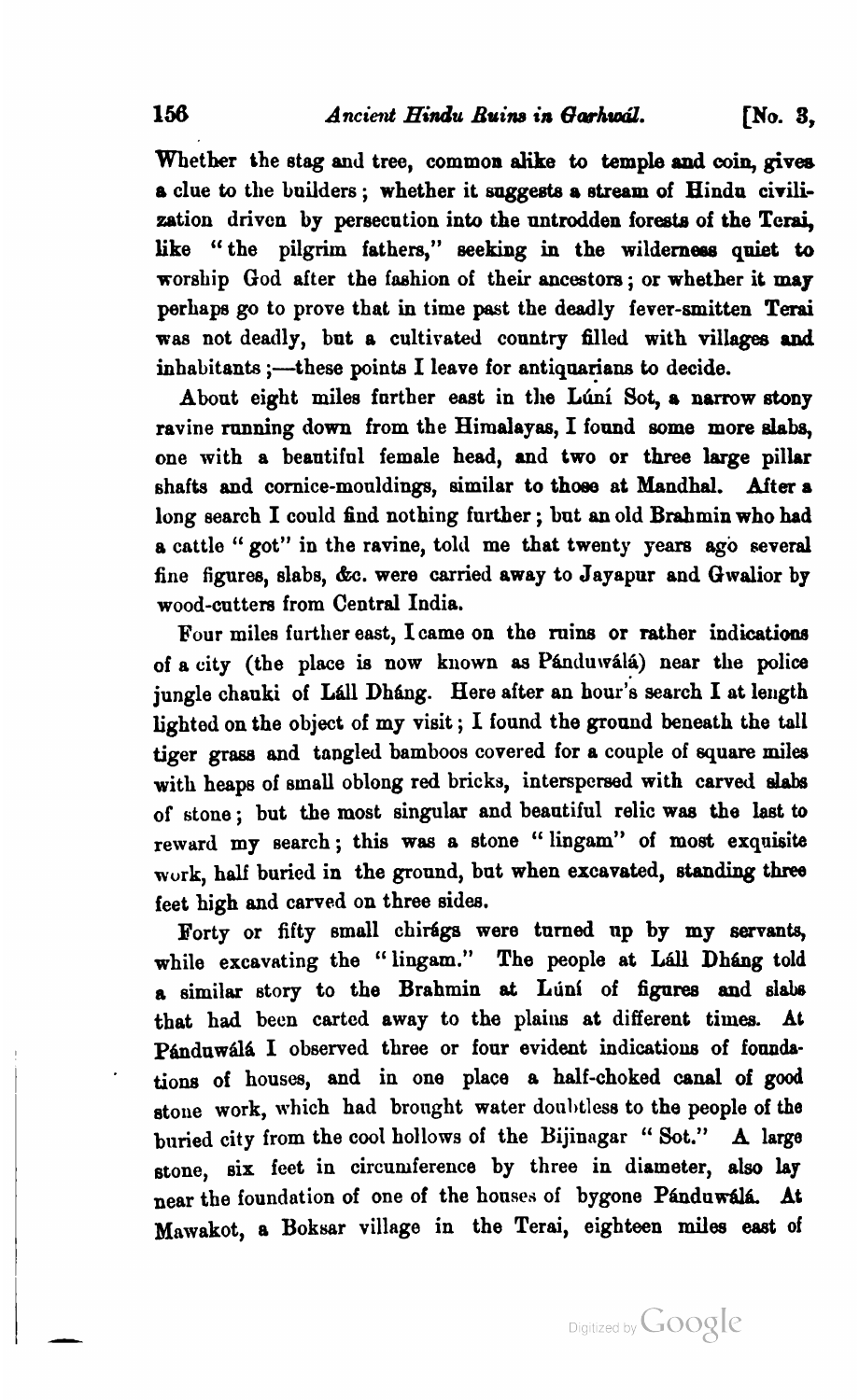Whether the stag **and** tree, common **alike** to temple **and** coin, **gives**  a clue to the builders ; whether it **suggests** o stream of Hindu civilization drivcn by persecution into the untrodden foreste of the **Terai,**  like "the pilgrim fathers," seeking in the wilderness quiet to worship God after the fashion of their ancestors ; or whether it **my**  perhaps go to prove that in time past the deadly fever-smitten **Terai**  was not deadly, but a cultivated country filled with villages and inhabitants ;- these points I leave for antiquarians to decide.

About eight miles further east in the Lúní Sot, a narrow stony ravine running down from the Himalayas, I found **some** more dabs, one with a beautiful female head, and two or three large pillar shafts and cornice-mouldings, similar to those at Mandhal. After a long search I could find nothing further ; but an old Brahmin who had a cattle " got" in the ravine, told me that twenty years ago several fine figures, slabs, **&c.** were carried away to Jayapur and Gwalior by wood-cutters from Central India.

Four miles further east, Icame on the ruins or rather indication8 of a city (the place is now known as Pánduwálá) near the police jungle chauki of Láll Dháng. Here after an hour's search I at length lighted on the object of my visit ; I found the ground beneath the tall tiger grass and tangled bamboos covered for a couple of square miles with heaps of small oblong red bricks, interspersed with carved slabs of stone; but the most singular and beautiful relic was the last to reward my search ; this was a stone '' lingam" of most exquisite wurk, half buried in the ground, but when excavated, standing three feet high and carved on three sidea.

Borty or fifty small chifigs were turned up by my servants, while excavating the "lingam." The people at Lall Dhang told **a** similar story to the Brahmin at L~inl of **figures** and sl& that had been carted away to the plains at different times. At Pánduwálá I observed three or four evident indications of foundatiom of houses, **and** in one place **s** half-choked anal of good stone work, which had brought water doubtless to the people of the buried city from the cool hollows of the Bijinngar " Sot." **A** large stone, six feet in circumference by three in diameter, also lay near the foundation of one of the houses of bygone Panduwala. At Mawakot, a Boksar village in the Terai, eighteen miles east of